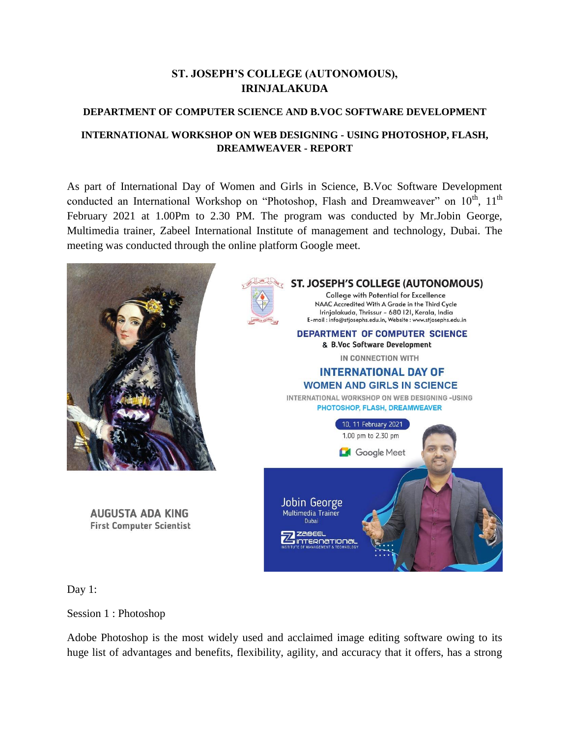## **ST. JOSEPH'S COLLEGE (AUTONOMOUS), IRINJALAKUDA**

## **DEPARTMENT OF COMPUTER SCIENCE AND B.VOC SOFTWARE DEVELOPMENT**

## **INTERNATIONAL WORKSHOP ON WEB DESIGNING - USING PHOTOSHOP, FLASH, DREAMWEAVER - REPORT**

As part of International Day of Women and Girls in Science, B.Voc Software Development conducted an International Workshop on "Photoshop, Flash and Dreamweaver" on 10<sup>th</sup>, 11<sup>th</sup> February 2021 at 1.00Pm to 2.30 PM. The program was conducted by Mr.Jobin George, Multimedia trainer, Zabeel International Institute of management and technology, Dubai. The meeting was conducted through the online platform Google meet.



Day 1:

Session 1 : Photoshop

Adobe Photoshop is the most widely used and acclaimed image editing software owing to its huge list of advantages and benefits, flexibility, agility, and accuracy that it offers, has a strong